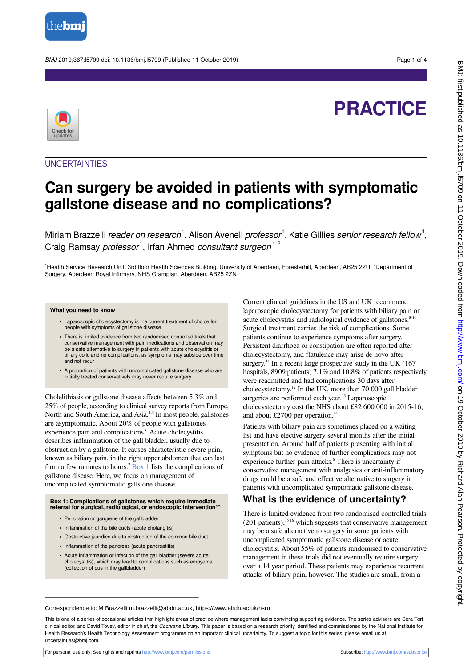

BMJ 2019;367:l5709 doi: 10.1136/bmj.l5709 (Published 11 October 2019) Page 1 of 4

# **PRACTICE**



## **UNCERTAINTIES**

## **Can surgery be avoided in patients with symptomatic gallstone disease and no complications?**

Miriam Brazzelli *reader on research*  $^1,$  Alison Avenell *professor*  $^1,$  Katie Gillies *senior research fellow*  $^1,$ Craig Ramsay professor<sup>1</sup>, Irfan Ahmed consultant surgeon<sup>12</sup>

<sup>1</sup>Health Service Research Unit, 3rd floor Health Sciences Building, University of Aberdeen, Foresterhill, Aberdeen, AB25 2ZU; <sup>2</sup>Department of Surgery, Aberdeen Royal Infirmary, NHS Grampian, Aberdeen, AB25 2ZN

#### **What you need to know**

- **•** Laparoscopic cholecystectomy is the current treatment of choice for people with symptoms of gallstone disease
- **•** There is limited evidence from two randomised controlled trials that conservative management with pain medications and observation may be a safe alternative to surgery in patients with acute cholecystitis or biliary colic and no complications, as symptoms may subside over time and not recur
- **•** A proportion of patients with uncomplicated gallstone disease who are initially treated conservatively may never require surgery

Cholelithiasis or gallstone disease affects between 5.3% and 25% of people, according to clinical survey reports from Europe, North and South America, and Asia.1-5 In most people, gallstones are asymptomatic. About 20% of people with gallstones experience pain and complications.<sup>6</sup> Acute cholecystitis describes inflammation of the gall bladder, usually due to obstruction by a gallstone. It causes characteristic severe pain, known as biliary pain, in the right upper abdomen that can last from a few minutes to hours.<sup>7</sup> [Box 1](#page-0-0) lists the complications of gallstone disease. Here, we focus on management of uncomplicated symptomatic gallstone disease.

### <span id="page-0-0"></span>**Box 1: Complications of gallstones which require immediate referral for surgical, radiological, or endoscopic intervention6 7**

- **•** Perforation or gangrene of the gallbladder
- **•** Inflammation of the bile ducts (acute cholangitis)
- **•** Obstructive jaundice due to obstruction of the common bile duct
- **•** Inflammation of the pancreas (acute pancreatitis)
- **•** Acute inflammation or infection of the gall bladder (severe acute cholecystitis), which may lead to complications such as empyema (collection of pus in the gallbladder)

Current clinical guidelines in the US and UK recommend laparoscopic cholecystectomy for patients with biliary pain or acute cholecystitis and radiological evidence of gallstones.<sup>8-10</sup> Surgical treatment carries the risk of complications. Some patients continue to experience symptoms after surgery. Persistent diarrhoea or constipation are often reported after cholecystectomy, and flatulence may arise de novo after surgery.<sup>11</sup> In a recent large prospective study in the UK  $(167)$ hospitals, 8909 patients) 7.1% and 10.8% of patients respectively were readmitted and had complications 30 days after cholecystectomy.<sup>12</sup> In the UK, more than 70 000 gall bladder surgeries are performed each year.<sup>13</sup> Laparoscopic cholecystectomy cost the NHS about £82 600 000 in 2015-16, and about £2700 per operation.<sup>14</sup>

Patients with biliary pain are sometimes placed on a waiting list and have elective surgery several months after the initial presentation. Around half of patients presenting with initial symptoms but no evidence of further complications may not experience further pain attacks.<sup>6</sup> There is uncertainty if conservative management with analgesics or anti-inflammatory drugs could be a safe and effective alternative to surgery in patients with uncomplicated symptomatic gallstone disease.

## **What is the evidence of uncertainty?**

There is limited evidence from two randomised controlled trials (201 patients),<sup>1516</sup> which suggests that conservative management may be a safe alternative to surgery in some patients with uncomplicated symptomatic gallstone disease or acute cholecystitis. About 55% of patients randomised to conservative management in these trials did not eventually require surgery over a 14 year period. These patients may experience recurrent attacks of biliary pain, however. The studies are small, from a

## Correspondence to: M Brazzelli m.brazzelli@abdn.ac.uk, https://www.abdn.ac.uk/hsru

This is one of a series of occasional articles that highlight areas of practice where management lacks convincing supporting evidence. The series advisers are Sera Tort, clinical editor, and David Tovey, editor in chief, the Cochrane Library. This paper is based on a research priority identified and commissioned by the National Institute for Health Research's Health Technology Assessment programme on an important clinical uncertainty. To suggest a topic for this series, please email us at uncertainties@bmj.com.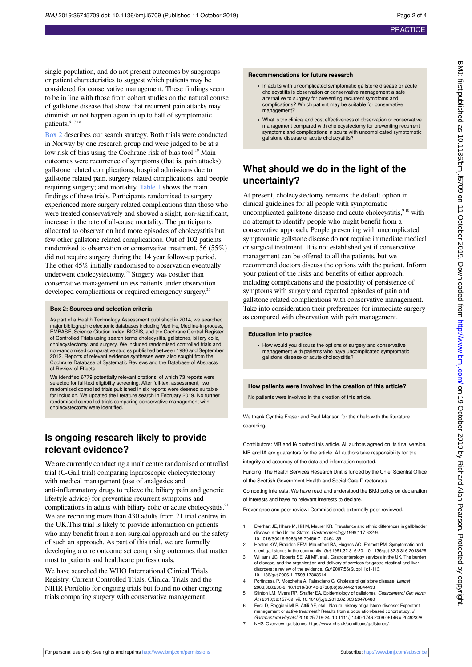single population, and do not present outcomes by subgroups or patient characteristics to suggest which patients may be considered for conservative management. These findings seem to be in line with those from cohort studies on the natural course of gallstone disease that show that recurrent pain attacks may diminish or not happen again in up to half of symptomatic patients.<sup>6 17 18</sup>

[Box 2](#page-1-0) describes our search strategy. Both trials were conducted in Norway by one research group and were judged to be at a low risk of bias using the Cochrane risk of bias tool.<sup>19</sup> Main outcomes were recurrence of symptoms (that is, pain attacks); gallstone related complications; hospital admissions due to gallstone related pain, surgery related complications, and people requiring surgery; and mortality. [Table 1](#page-3-0) shows the main findings of these trials. Participants randomised to surgery experienced more surgery related complications than those who were treated conservatively and showed a slight, non-significant, increase in the rate of all-cause mortality. The participants allocated to observation had more episodes of cholecystitis but few other gallstone related complications. Out of 102 patients randomised to observation or conservative treatment, 56 (55%) did not require surgery during the 14 year follow-up period. The other 45% initially randomised to observation eventually underwent cholecystectomy.<sup>20</sup> Surgery was costlier than conservative management unless patients under observation developed complications or required emergency surgery.<sup>20</sup>

### <span id="page-1-0"></span>**Box 2: Sources and selection criteria**

As part of a Health Technology Assessment published in 2014, we searched major bibliographic electronic databases including Medline, Medline-in-process, EMBASE, Science Citation Index, BIOSIS, and the Cochrane Central Register of Controlled Trials using search terms cholecysitis, gallstones, biliary colic, cholecystectomy, and surgery. We included randomised controlled trials and non-randomised comparative studies published between 1980 and September 2012. Reports of relevant evidence syntheses were also sought from the Cochrane Database of Systematic Reviews and the Database of Abstracts of Review of Effects.

We identified 6779 potentially relevant citations, of which 73 reports were selected for full-text eligibility screening. After full-text assessment, two randomised controlled trials published in six reports were deemed suitable for inclusion. We updated the literature search in February 2019. No further randomised controlled trials comparing conservative management with cholecystectomy were identified.

## **Is ongoing research likely to provide relevant evidence?**

We are currently conducting a multicentre randomised controlled trial (C-Gall trial) comparing laparoscopic cholecystectomy with medical management (use of analgesics and anti-inflammatory drugs to relieve the biliary pain and generic lifestyle advice) for preventing recurrent symptoms and complications in adults with biliary colic or acute cholecystitis.<sup>21</sup> We are recruiting more than 430 adults from 21 trial centres in the UK.This trial is likely to provide information on patients who may benefit from a non-surgical approach and on the safety of such an approach. As part of this trial, we are formally developing a core outcome set comprising outcomes that matter most to patients and healthcare professionals.

We have searched the WHO International Clinical Trials Registry, Current Controlled Trials, Clinical Trials and the NIHR Portfolio for ongoing trials but found no other ongoing trials comparing surgery with conservative management.

#### **Recommendations for future research**

- **•** In adults with uncomplicated symptomatic gallstone disease or acute cholecystitis is observation or conservative management a safe alternative to surgery for preventing recurrent symptoms and complications? Which patient may be suitable for conservative management?
- **•** What is the clinical and cost effectiveness of observation or conservative management compared with cholecystectomy for preventing recurrent symptoms and complications in adults with uncomplicated symptomatic gallstone disease or acute cholecystitis?

## **What should we do in the light of the uncertainty?**

At present, cholecystectomy remains the default option in clinical guidelines for all people with symptomatic uncomplicated gallstone disease and acute cholecystitis,<sup>910</sup> with no attempt to identify people who might benefit from a conservative approach. People presenting with uncomplicated symptomatic gallstone disease do not require immediate medical or surgical treatment. It is not established yet if conservative management can be offered to all the patients, but we recommend doctors discuss the options with the patient. Inform your patient of the risks and benefits of either approach, including complications and the possibility of persistence of symptoms with surgery and repeated episodes of pain and gallstone related complications with conservative management. Take into consideration their preferences for immediate surgery as compared with observation with pain management.

### **Education into practice**

**•** How would you discuss the options of surgery and conservative management with patients who have uncomplicated symptomatic gallstone disease or acute cholecystitis?

### **How patients were involved in the creation of this article?**

No patients were involved in the creation of this article.

We thank Cynthia Fraser and Paul Manson for their help with the literature searching.

Contributors: MB and IA drafted this article. All authors agreed on its final version. MB and IA are guarantors for the article. All authors take responsibility for the integrity and accuracy of the data and information reported.

Funding: The Health Services Research Unit is funded by the Chief Scientist Office of the Scottish Government Health and Social Care Directorates.

Competing interests: We have read and understood the BMJ policy on declaration of interests and have no relevant interests to declare.

Provenance and peer review: Commissioned; externally peer reviewed.

- 1 Everhart JE, Khare M, Hill M, Maurer KR. Prevalence and ethnic differences in gallbladder disease in the United States. Gastroenterology 1999;117:632-9. 10.1016/S0016-5085(99)70456-7 10464139
- Heaton KW, Braddon FEM, Mountford RA, Hughes AO, Emmett PM. Symptomatic and silent gall stones in the community. Gut 1991;32:316-20. 10.1136/gut.32.3.316 2013429
- 3 Williams JG, Roberts SE, Ali MF, etal . Gastroenterology services in the UK. The burden of disease, and the organisation and delivery of services for gastrointestinal and liver disorders: a review of the evidence. Gut 2007;56(Suppl 1):1-113. 10.1136/gut.2006.117598 17303614
- 4 Portincasa P, Moschetta A, Palasciano G. Cholesterol gallstone disease. Lancet 2006;368:230-9. 10.1016/S0140-6736(06)69044-2 16844493
- 5 Stinton LM, Myers RP, Shaffer EA. Epidemiology of gallstones. Gastroenterol Clin North Am 2010;39:157-69, vii. 10.1016/j.gtc.2010.02.003 20478480
- 6 Festi D, Reggiani MLB, Attili AF, etal . Natural history of gallstone disease: Expectant management or active treatment? Results from a population-based cohort study. J Gastroenterol Hepatol 2010;25:719-24. 10.1111/j.1440-1746.2009.06146.x 20492328
- 7 NHS. Overview: gallstones. https://www.nhs.uk/conditions/gallstones/.

For personal use only: See rights and reprints<http://www.bmj.com/permissions> Subscribe: <http://www.bmj.com/subscribe>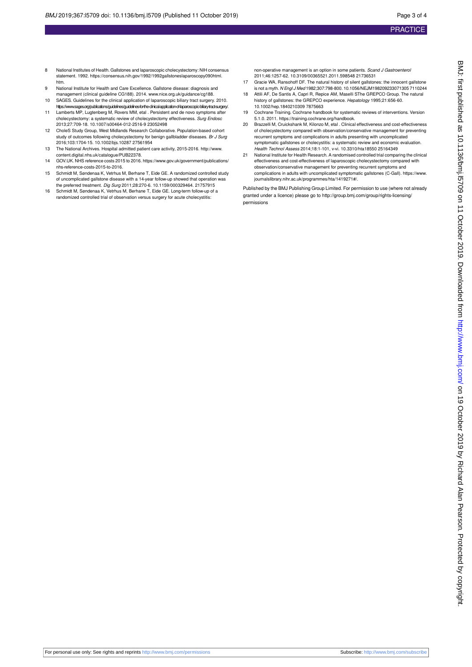- 8 National Institutes of Health. Gallstones and laparoscopic cholecystectomy: NIH consensus statement. 1992. https://consensus.nih.gov/1992/1992gallstoneslaparoscopy090html. htm.
- 9 National Institute for Health and Care Excellence. Gallstone disease: diagnosis and management (clinical guideline CG188). 2014. [www.nice.org.uk/guidance/cg188.](http://www.nice.org.uk/guidance/cg188)
- 10 SAGES. Guidelines for the clinical application of laparoscopic biliary tract surgery. 2010. https://www.sages.org/publications/guidelines/guidelines-for-the-clinical-application-of-laparoscopic-biliary-tract-surgery/.
- 11 Lamberts MP, Lugtenberg M, Rovers MM, etal . Persistent and de novo symptoms after cannotism, edge notes with, can be cholecystectomy surprising and cholecystectomy: a systematic review of cholecystectomy effectiveness. Surg Endosc 2013;27:709-18. 10.1007/s00464-012-2516-9 23052498
- 12 CholeS Study Group, West Midlands Research Collaborative. Population-based cohort study of outcomes following cholecystectomy for benign gallbladder diseases. Br J Surg 2016;103:1704-15. 10.1002/bjs.10287 27561954
- 13 The National Archives. Hospital admitted patient care activity, 2015-2016. [http://www.](http://www.content.digital.nhs.uk/catalogue/PUB22378) [content.digital.nhs.uk/catalogue/PUB22378.](http://www.content.digital.nhs.uk/catalogue/PUB22378)
- 14 GOV.UK. NHS reference costs 2015 to 2016. https://www.gov.uk/government/publications/ nhs-reference-costs-2015-to-2016.
- 15 Schmidt M, Søndenaa K, Vetrhus M, Berhane T, Eide GE. A randomized controlled study of uncomplicated gallstone disease with a 14-year follow-up showed that operation was the preferred treatment. Dig Surg 2011;28:270-6. 10.1159/000329464. 21757915
- 16 Schmidt M, Søndenaa K, Vetrhus M, Berhane T, Eide GE. Long-term follow-up of a randomized controlled trial of observation versus surgery for acute cholecystitis:

non-operative management is an option in some patients. Scand J Gastroenterol 2011;46:1257-62. 10.3109/00365521.2011.598548 21736531

- 17 Gracie WA, Ransohoff DF. The natural history of silent gallstones: the innocent gallstone is not a myth. N Engl J Med 1982;307:798-800. 10.1056/NEJM198209233071305 7110244 18 Attili AF, De Santis A, Capri R, Repice AM, Maselli SThe GREPCO Group. The natural
- history of gallstones: the GREPCO experience. Hepatology 1995;21:656-60. 10.1002/hep.1840210309 7875663
- 19 Cochrane Training. Cochrane handbook for systematic reviews of interventions. Version 5.1.0. 2011. https://training.cochrane.org/handbook.
- 20 Brazzelli M, Cruickshank M, Kilonzo M, etal . Clinical effectiveness and cost-effectiveness of cholecystectomy compared with observation/conservative management for preventing recurrent symptoms and complications in adults presenting with uncomplicated symptomatic gallstones or cholecystitis: a systematic review and economic evaluation. Health Technol Assess 2014;18:1-101, v-vi. 10.3310/hta18550 25164349
- 21 National Institute for Health Research. A randomised controlled trial comparing the clinical effectiveness and cost-effectiveness of laparoscopic cholecystectomy compared with observation/conservative management for preventing recurrent symptoms and complications in adults with uncomplicated symptomatic gallstones (C-Gall). https://www. journalslibrary.nihr.ac.uk/programmes/hta/1419271#/.

Published by the BMJ Publishing Group Limited. For permission to use (where not already granted under a licence) please go to [http://group.bmj.com/group/rights-licensing/](http://group.bmj.com/group/rights-licensing/permissions) [permissions](http://group.bmj.com/group/rights-licensing/permissions)